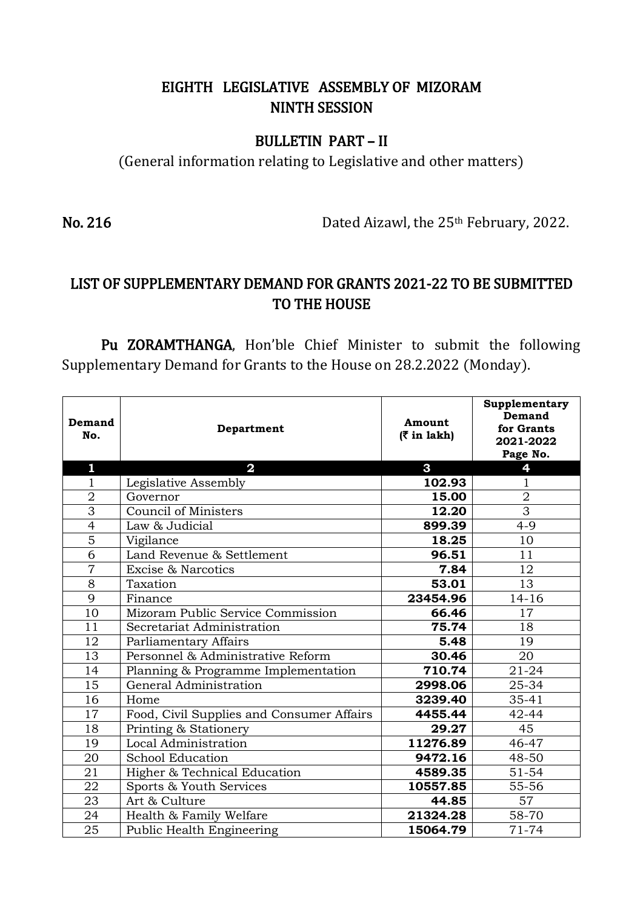## EIGHTH LEGISLATIVE ASSEMBLY OF MIZORAM NINTH SESSION

## BULLETIN PART – II

(General information relating to Legislative and other matters)

No. 216 **Dated Aizawl, the 25<sup>th</sup> February, 2022.** 

## LIST OF SUPPLEMENTARY DEMAND FOR GRANTS 2021-22 TO BE SUBMITTED TO THE HOUSE

Pu ZORAMTHANGA, Hon'ble Chief Minister to submit the following Supplementary Demand for Grants to the House on 28.2.2022 (Monday).

| Demand<br>No.  | Department                                | Amount<br>$(3 \in \mathbb{R}^2)$ in lakh) | Supplementary<br>Demand<br>for Grants<br>2021-2022<br>Page No. |
|----------------|-------------------------------------------|-------------------------------------------|----------------------------------------------------------------|
| 1              | $\mathbf 2$                               | $\mathbf{3}$                              | 4                                                              |
| $\mathbf{1}$   | Legislative Assembly                      | 102.93                                    | 1                                                              |
| $\overline{2}$ | Governor                                  | 15.00                                     | $\overline{2}$                                                 |
| $\overline{3}$ | <b>Council of Ministers</b>               | 12.20                                     | $\overline{3}$                                                 |
| $\overline{4}$ | Law & Judicial                            | 899.39                                    | $4 - 9$                                                        |
| 5              | Vigilance                                 | 18.25                                     | 10                                                             |
| 6              | Land Revenue & Settlement                 | 96.51                                     | 11                                                             |
| $\overline{7}$ | Excise & Narcotics                        | 7.84                                      | 12                                                             |
| 8              | Taxation                                  | 53.01                                     | 13                                                             |
| 9              | Finance                                   | 23454.96                                  | $14 - 16$                                                      |
| 10             | Mizoram Public Service Commission         | 66.46                                     | 17                                                             |
| 11             | Secretariat Administration                | 75.74                                     | 18                                                             |
| 12             | Parliamentary Affairs                     | 5.48                                      | 19                                                             |
| 13             | Personnel & Administrative Reform         | 30.46                                     | 20                                                             |
| 14             | Planning & Programme Implementation       | 710.74                                    | $21 - 24$                                                      |
| 15             | General Administration                    | 2998.06                                   | 25-34                                                          |
| 16             | Home                                      | 3239.40                                   | $35 - 41$                                                      |
| 17             | Food, Civil Supplies and Consumer Affairs | 4455.44                                   | 42-44                                                          |
| 18             | Printing & Stationery                     | 29.27                                     | 45                                                             |
| 19             | Local Administration                      | 11276.89                                  | 46-47                                                          |
| 20             | School Education                          | 9472.16                                   | 48-50                                                          |
| 21             | Higher & Technical Education              | 4589.35                                   | $51 - 54$                                                      |
| 22             | Sports & Youth Services                   | 10557.85                                  | 55-56                                                          |
| 23             | Art & Culture                             | 44.85                                     | 57                                                             |
| 24             | Health & Family Welfare                   | 21324.28                                  | 58-70                                                          |
| 25             | <b>Public Health Engineering</b>          | 15064.79                                  | $71 - 74$                                                      |